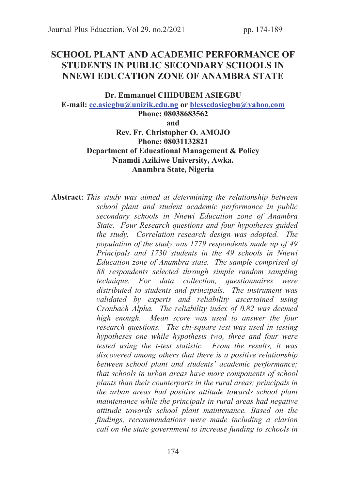# SCHOOL PLANT AND ACADEMIC PERFORMANCE OF STUDENTS IN PUBLIC SECONDARY SCHOOLS IN NNEWI EDUCATION ZONE OF ANAMBRA STATE

#### Dr. Emmanuel CHIDUBEM ASIEGBU

E-mail: ec.asiegbu@unizik.edu.ng or blessedasiegbu@yahoo.com

Phone: 08038683562 and Rev. Fr. Christopher O. AMOJO Phone: 08031132821 Department of Educational Management & Policy Nnamdi Azikiwe University, Awka. Anambra State, Nigeria

Abstract: *This study was aimed at determining the relationship between school plant and student academic performance in public secondary schools in Nnewi Education zone of Anambra State. Four Research questions and four hypotheses guided the study. Correlation research design was adopted. The population of the study was 1779 respondents made up of 49 Principals and 1730 students in the 49 schools in Nnewi Education zone of Anambra state. The sample comprised of 88 respondents selected through simple random sampling technique. For data collection, questionnaires were distributed to students and principals. The instrument was validated by experts and reliability ascertained using Cronbach Alpha. The reliability index of 0.82 was deemed high enough. Mean score was used to answer the four research questions. The chi-square test was used in testing hypotheses one while hypothesis two, three and four were tested using the t-test statistic. From the results, it was discovered among others that there is a positive relationship between school plant and students' academic performance; that schools in urban areas have more components of school plants than their counterparts in the rural areas; principals in the urban areas had positive attitude towards school plant maintenance while the principals in rural areas had negative attitude towards school plant maintenance. Based on the findings, recommendations were made including a clarion call on the state government to increase funding to schools in*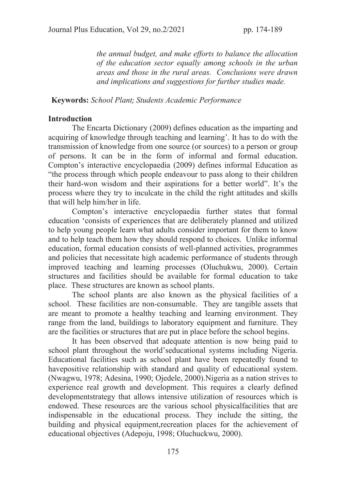*the annual budget, and make efforts to balance the allocation of the education sector equally among schools in the urban areas and those in the rural areas. Conclusions were drawn and implications and suggestions for further studies made.* 

#### Keywords: *School Plant*; *Students Academic Performance*

### Introduction

The Encarta Dictionary (2009) defines education as the imparting and acquiring of knowledge through teaching and learning'. It has to do with the transmission of knowledge from one source (or sources) to a person or group of persons. It can be in the form of informal and formal education. Compton's interactive encyclopaedia (2009) defines informal Education as "the process through which people endeavour to pass along to their children their hard-won wisdom and their aspirations for a better world". It's the process where they try to inculcate in the child the right attitudes and skills that will help him/her in life.

Compton's interactive encyclopaedia further states that formal education 'consists of experiences that are deliberately planned and utilized to help young people learn what adults consider important for them to know and to help teach them how they should respond to choices. Unlike informal education, formal education consists of well-planned activities, programmes and policies that necessitate high academic performance of students through improved teaching and learning processes (Oluchukwu, 2000). Certain structures and facilities should be available for formal education to take place. These structures are known as school plants.

The school plants are also known as the physical facilities of a school. These facilities are non-consumable. They are tangible assets that are meant to promote a healthy teaching and learning environment. They range from the land, buildings to laboratory equipment and furniture. They are the facilities or structures that are put in place before the school begins.

It has been observed that adequate attention is now being paid to school plant throughout the world'seducational systems including Nigeria. Educational facilities such as school plant have been repeatedly found to havepositive relationship with standard and quality of educational system. (Nwagwu, 1978; Adesina, 1990; Ojedele, 2000).Nigeria as a nation strives to experience real growth and development. This requires a clearly defined developmentstrategy that allows intensive utilization of resources which is endowed. These resources are the various school physicalfacilities that are indispensable in the educational process. They include the sitting, the building and physical equipment,recreation places for the achievement of educational objectives (Adepoju, 1998; Oluchuckwu, 2000).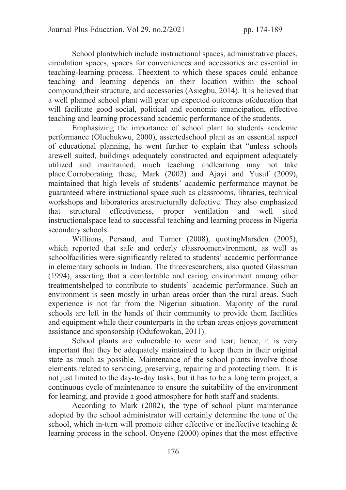School plantwhich include instructional spaces, administrative places, circulation spaces, spaces for conveniences and accessories are essential in teaching-learning process. Theextent to which these spaces could enhance teaching and learning depends on their location within the school compound,their structure, and accessories (Asiegbu, 2014). It is believed that a well planned school plant will gear up expected outcomes ofeducation that will facilitate good social, political and economic emancipation, effective teaching and learning processand academic performance of the students.

Emphasizing the importance of school plant to students academic performance (Oluchukwu, 2000), assertedschool plant as an essential aspect of educational planning, he went further to explain that "unless schools arewell suited, buildings adequately constructed and equipment adequately utilized and maintained, much teaching andlearning may not take place.Corroborating these, Mark (2002) and Ajayi and Yusuf (2009), maintained that high levels of students' academic performance maynot be guaranteed where instructional space such as classrooms, libraries, technical workshops and laboratories arestructurally defective. They also emphasized that structural effectiveness, proper ventilation and well sited instructionalspace lead to successful teaching and learning process in Nigeria secondary schools.

Williams, Persaud, and Turner (2008), quotingMarsden (2005), which reported that safe and orderly classroomenvironment, as well as schoolfacilities were significantly related to students' academic performance in elementary schools in Indian. The threeresearchers, also quoted Glassman (1994), asserting that a comfortable and caring environment among other treatmentshelped to contribute to students` academic performance. Such an environment is seen mostly in urban areas order than the rural areas. Such experience is not far from the Nigerian situation. Majority of the rural schools are left in the hands of their community to provide them facilities and equipment while their counterparts in the urban areas enjoys government assistance and sponsorship (Odufowokan, 2011).

School plants are vulnerable to wear and tear; hence, it is very important that they be adequately maintained to keep them in their original state as much as possible. Maintenance of the school plants involve those elements related to servicing, preserving, repairing and protecting them. It is not just limited to the day-to-day tasks, but it has to be a long term project, a continuous cycle of maintenance to ensure the suitability of the environment for learning, and provide a good atmosphere for both staff and students.

According to Mark (2002), the type of school plant maintenance adopted by the school administrator will certainly determine the tone of the school, which in-turn will promote either effective or ineffective teaching  $\&$ learning process in the school. Onyene (2000) opines that the most effective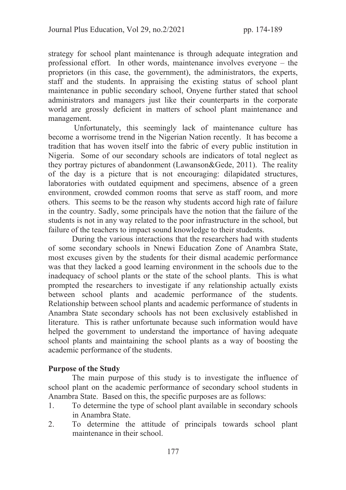strategy for school plant maintenance is through adequate integration and professional effort. In other words, maintenance involves everyone – the proprietors (in this case, the government), the administrators, the experts, staff and the students. In appraising the existing status of school plant maintenance in public secondary school, Onyene further stated that school administrators and managers just like their counterparts in the corporate world are grossly deficient in matters of school plant maintenance and management.

 Unfortunately, this seemingly lack of maintenance culture has become a worrisome trend in the Nigerian Nation recently. It has become a tradition that has woven itself into the fabric of every public institution in Nigeria. Some of our secondary schools are indicators of total neglect as they portray pictures of abandonment (Lawanson&Gede, 2011). The reality of the day is a picture that is not encouraging: dilapidated structures, laboratories with outdated equipment and specimens, absence of a green environment, crowded common rooms that serve as staff room, and more others. This seems to be the reason why students accord high rate of failure in the country. Sadly, some principals have the notion that the failure of the students is not in any way related to the poor infrastructure in the school, but failure of the teachers to impact sound knowledge to their students.

During the various interactions that the researchers had with students of some secondary schools in Nnewi Education Zone of Anambra State, most excuses given by the students for their dismal academic performance was that they lacked a good learning environment in the schools due to the inadequacy of school plants or the state of the school plants. This is what prompted the researchers to investigate if any relationship actually exists between school plants and academic performance of the students. Relationship between school plants and academic performance of students in Anambra State secondary schools has not been exclusively established in literature. This is rather unfortunate because such information would have helped the government to understand the importance of having adequate school plants and maintaining the school plants as a way of boosting the academic performance of the students.

## Purpose of the Study

The main purpose of this study is to investigate the influence of school plant on the academic performance of secondary school students in Anambra State. Based on this, the specific purposes are as follows:

- 1. To determine the type of school plant available in secondary schools in Anambra State.
- 2. To determine the attitude of principals towards school plant maintenance in their school.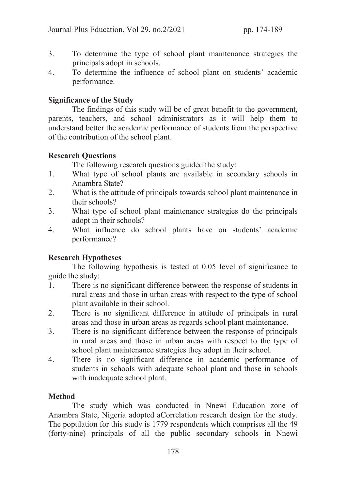- 3. To determine the type of school plant maintenance strategies the principals adopt in schools.
- 4. To determine the influence of school plant on students' academic performance.

# Significance of the Study

The findings of this study will be of great benefit to the government, parents, teachers, and school administrators as it will help them to understand better the academic performance of students from the perspective of the contribution of the school plant.

# Research Questions

The following research questions guided the study:

- 1. What type of school plants are available in secondary schools in Anambra State?
- 2. What is the attitude of principals towards school plant maintenance in their schools?
- 3. What type of school plant maintenance strategies do the principals adopt in their schools?
- 4. What influence do school plants have on students' academic performance?

# Research Hypotheses

 The following hypothesis is tested at 0.05 level of significance to guide the study:

- 1. There is no significant difference between the response of students in rural areas and those in urban areas with respect to the type of school plant available in their school.
- 2. There is no significant difference in attitude of principals in rural areas and those in urban areas as regards school plant maintenance.
- 3. There is no significant difference between the response of principals in rural areas and those in urban areas with respect to the type of school plant maintenance strategies they adopt in their school.
- 4. There is no significant difference in academic performance of students in schools with adequate school plant and those in schools with inadequate school plant.

# Method

The study which was conducted in Nnewi Education zone of Anambra State, Nigeria adopted aCorrelation research design for the study. The population for this study is 1779 respondents which comprises all the 49 (forty-nine) principals of all the public secondary schools in Nnewi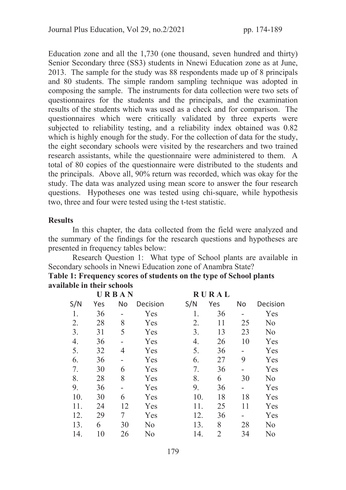Education zone and all the 1,730 (one thousand, seven hundred and thirty) Senior Secondary three (SS3) students in Nnewi Education zone as at June, 2013. The sample for the study was 88 respondents made up of 8 principals and 80 students. The simple random sampling technique was adopted in composing the sample. The instruments for data collection were two sets of questionnaires for the students and the principals, and the examination results of the students which was used as a check and for comparison. The questionnaires which were critically validated by three experts were subjected to reliability testing, and a reliability index obtained was 0.82 which is highly enough for the study. For the collection of data for the study, the eight secondary schools were visited by the researchers and two trained research assistants, while the questionnaire were administered to them. A total of 80 copies of the questionnaire were distributed to the students and the principals. Above all, 90% return was recorded, which was okay for the study. The data was analyzed using mean score to answer the four research questions. Hypotheses one was tested using chi-square, while hypothesis two, three and four were tested using the t-test statistic.

# **Results**

 In this chapter, the data collected from the field were analyzed and the summary of the findings for the research questions and hypotheses are presented in frequency tables below:

 Research Question 1: What type of School plants are available in Secondary schools in Nnewi Education zone of Anambra State?

| Table 1: Frequency scores of students on the type of School plants |  |
|--------------------------------------------------------------------|--|
| available in their schools                                         |  |

|     |     | URBAN     |                | <b>RURAL</b> |                |           |                |
|-----|-----|-----------|----------------|--------------|----------------|-----------|----------------|
| S/N | Yes | <b>No</b> | Decision       | S/N          | Yes            | <b>No</b> | Decision       |
| 1.  | 36  |           | Yes            | 1.           | 36             |           | Yes            |
| 2.  | 28  | 8         | Yes            | 2.           | 11             | 25        | N <sub>o</sub> |
| 3.  | 31  | 5         | Yes            | 3.           | 13             | 23        | N <sub>o</sub> |
| 4.  | 36  |           | Yes            | 4.           | 26             | 10        | Yes            |
| 5.  | 32  | 4         | Yes            | 5.           | 36             |           | Yes            |
| 6.  | 36  |           | Yes            | 6.           | 27             | 9         | Yes            |
| 7.  | 30  | 6         | Yes            | 7.           | 36             |           | Yes            |
| 8.  | 28  | 8         | Yes            | 8.           | 6              | 30        | N <sub>o</sub> |
| 9.  | 36  |           | Yes            | 9.           | 36             |           | Yes            |
| 10. | 30  | 6         | Yes            | 10.          | 18             | 18        | Yes            |
| 11. | 24  | 12        | Yes            | 11.          | 25             | 11        | Yes            |
| 12. | 29  | 7         | Yes            | 12.          | 36             |           | Yes            |
| 13. | 6   | 30        | N <sub>o</sub> | 13.          | 8              | 28        | N <sub>o</sub> |
| 14. | 10  | 26        | No             | 14.          | $\overline{2}$ | 34        | N <sub>o</sub> |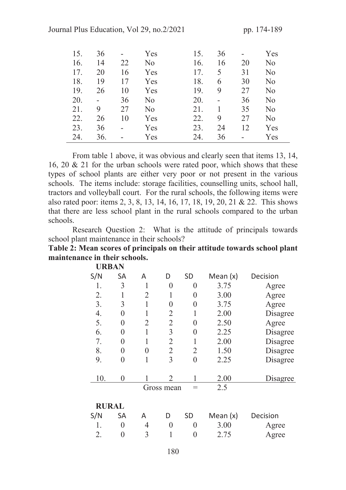| 15. | 36             |    | Yes | 15. | 36 | ۰  | Yes            |
|-----|----------------|----|-----|-----|----|----|----------------|
| 16. | 14             | 22 | No  | 16. | 16 | 20 | N <sub>o</sub> |
| 17. | 20             | 16 | Yes | 17. | 5  | 31 | N <sub>o</sub> |
| 18. | 19             | 17 | Yes | 18. | 6  | 30 | N <sub>o</sub> |
| 19. | 26             | 10 | Yes | 19. | 9  | 27 | N <sub>o</sub> |
| 20. | $\blacksquare$ | 36 | No  | 20. |    | 36 | N <sub>o</sub> |
| 21. | 9              | 27 | No  | 21. |    | 35 | No             |
| 22. | 26             | 10 | Yes | 22. | 9  | 27 | N <sub>o</sub> |
| 23. | 36             |    | Yes | 23. | 24 | 12 | Yes            |
| 24. | 36.            |    | Yes | 24. | 36 | -  | Yes            |

From table 1 above, it was obvious and clearly seen that items 13, 14, 16, 20 & 21 for the urban schools were rated poor, which shows that these types of school plants are either very poor or not present in the various schools. The items include: storage facilities, counselling units, school hall, tractors and volleyball court. For the rural schools, the following items were also rated poor: items 2, 3, 8, 13, 14, 16, 17, 18, 19, 20, 21 & 22. This shows that there are less school plant in the rural schools compared to the urban schools.

 Research Question 2: What is the attitude of principals towards school plant maintenance in their schools?

Table 2: Mean scores of principals on their attitude towards school plant maintenance in their schools. URBAN

| UKBAN        |           |                |                |                |            |          |
|--------------|-----------|----------------|----------------|----------------|------------|----------|
| S/N          | <b>SA</b> | A              | D              | <b>SD</b>      | Mean $(x)$ | Decision |
| 1.           | 3         | 1              | 0              | 0              | 3.75       | Agree    |
| 2.           | 1         | $\overline{2}$ |                | 0              | 3.00       | Agree    |
| 3.           | 3         |                | 0              | 0              | 3.75       | Agree    |
| 4.           | 0         | 1              | 2              | 1              | 2.00       | Disagree |
| 5.           | 0         | $\overline{2}$ | $\overline{2}$ | 0              | 2.50       | Agree    |
| 6.           | 0         |                | $\overline{3}$ | $\overline{0}$ | 2.25       | Disagree |
| 7.           | 0         |                | $\overline{2}$ | 1              | 2.00       | Disagree |
| 8.           | 0         | $\overline{0}$ | $\overline{2}$ | $\overline{2}$ | 1.50       | Disagree |
| 9.           | 0         | 1              | 3              | $\overline{0}$ | 2.25       | Disagree |
| 10.          | 0         |                | $\mathfrak{D}$ |                | 2.00       | Disagree |
|              |           |                | Gross mean     | $=$            | 2.5        |          |
| <b>RURAL</b> |           |                |                |                |            |          |
| S/N          | <b>SA</b> | A              | D              | <b>SD</b>      | Mean $(x)$ | Decision |
|              | 0         | $\overline{4}$ | $\mathcal{O}$  | 0              | 3.00       | Agree    |
| 2.           | 0         | $\overline{3}$ |                |                | 2.75       | Agree    |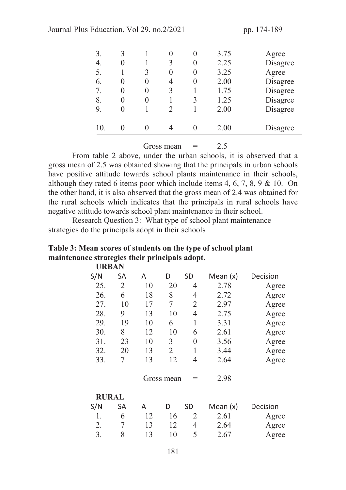Journal Plus Education, Vol 29, no. 2/2021 pp. 174-189

| 3.<br>4.<br>5.<br>6.<br>7. | 3<br>$\mathbf{0}$<br>$\mathbf{\Omega}$ | 3<br>0<br>$\theta$ | 3<br>0<br>$\overline{4}$<br>3 | 0<br>0 | 3.75<br>2.25<br>3.25<br>2.00<br>1.75 | Agree<br>Disagree<br>Agree<br>Disagree<br>Disagree |
|----------------------------|----------------------------------------|--------------------|-------------------------------|--------|--------------------------------------|----------------------------------------------------|
| 8.<br>9.<br>10.            | $\left( \right)$                       | 0                  | $\mathfrak{D}$                | 3      | 1.25<br>2.00<br>2.00                 | Disagree<br>Disagree<br>Disagree                   |
|                            |                                        |                    |                               |        |                                      |                                                    |

Gross mean  $=$  2.5

From table 2 above, under the urban schools, it is observed that a gross mean of 2.5 was obtained showing that the principals in urban schools have positive attitude towards school plants maintenance in their schools, although they rated 6 items poor which include items 4, 6, 7, 8, 9 & 10. On the other hand, it is also observed that the gross mean of 2.4 was obtained for the rural schools which indicates that the principals in rural schools have negative attitude towards school plant maintenance in their school.

 Research Question 3: What type of school plant maintenance strategies do the principals adopt in their schools

#### Table 3: Mean scores of students on the type of school plant maintenance strategies their principals adopt. URBAN

| UIADAI \     |                |    |                |                |            |          |  |
|--------------|----------------|----|----------------|----------------|------------|----------|--|
| S/N          | <b>SA</b>      | A  | D              | <b>SD</b>      | Mean $(x)$ | Decision |  |
| 25.          | $\overline{2}$ | 10 | 20             | 4              | 2.78       | Agree    |  |
| 26.          | 6              | 18 | 8              | 4              | 2.72       | Agree    |  |
| 27.          | 10             | 17 | 7              | $\overline{2}$ | 2.97       | Agree    |  |
| 28.          | 9              | 13 | 10             | $\overline{4}$ | 2.75       | Agree    |  |
| 29.          | 19             | 10 | 6              | 1              | 3.31       | Agree    |  |
| 30.          | 8              | 12 | 10             | 6              | 2.61       | Agree    |  |
| 31.          | 23             | 10 | 3              | $\overline{0}$ | 3.56       | Agree    |  |
| 32.          | 20             | 13 | $\overline{2}$ | 1              | 3.44       | Agree    |  |
| 33.          | 7              | 13 | 12             | $\overline{4}$ | 2.64       | Agree    |  |
|              |                |    | Gross mean     | $=$            | 2.98       |          |  |
| <b>RURAL</b> |                |    |                |                |            |          |  |
| S/N          | <b>SA</b>      | A  | D              | <b>SD</b>      | Mean $(x)$ | Decision |  |
| 1.           | 6              | 12 | 16             | $\overline{2}$ | 2.61       | Agree    |  |
| 2.           | 7              | 13 | 12             | 4              | 2.64       | Agree    |  |
| 3.           | 8              | 13 | 10             | 5              | 2.67       | Agree    |  |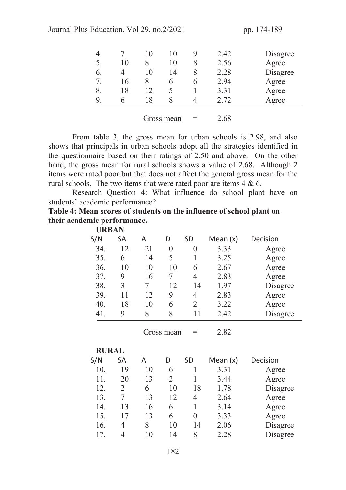Journal Plus Education, Vol 29, no. 2/2021 pp. 174-189

| 4. |    | 10 | 10          | Y | 2.42 | Disagree |
|----|----|----|-------------|---|------|----------|
| 5. | 10 | 8  | 10          | 8 | 2.56 | Agree    |
| 6. | 4  | 10 | 14          | 8 | 2.28 | Disagree |
| 7. | 16 | 8  | h           | h | 2.94 | Agree    |
| 8. | 18 | 12 | $\varsigma$ |   | 3.31 | Agree    |
| 9. | 6  | 18 | 8           | 4 | 2.72 | Agree    |
|    |    |    |             |   | .    |          |

Gross mean  $=$  2.68

 From table 3, the gross mean for urban schools is 2.98, and also shows that principals in urban schools adopt all the strategies identified in the questionnaire based on their ratings of 2.50 and above. On the other hand, the gross mean for rural schools shows a value of 2.68. Although 2 items were rated poor but that does not affect the general gross mean for the rural schools. The two items that were rated poor are items 4 & 6.

 Research Question 4: What influence do school plant have on students' academic performance?

Table 4: Mean scores of students on the influence of school plant on their academic performance.

| <b>URBAN</b> |                |         |                |                |              |                      |  |  |  |  |
|--------------|----------------|---------|----------------|----------------|--------------|----------------------|--|--|--|--|
| S/N          | <b>SA</b>      | A       | D              | <b>SD</b>      | Mean $(x)$   | Decision             |  |  |  |  |
| 34.          | 12             | 21      | $\overline{0}$ | $\overline{0}$ | 3.33         | Agree                |  |  |  |  |
| 35.          | 6              | 14      | 5              | 1              | 3.25         | Agree                |  |  |  |  |
| 36.          | 10             | 10      | 10             | 6              | 2.67         | Agree                |  |  |  |  |
| 37.          | 9              | 16      | 7              | $\overline{4}$ | 2.83         | Agree                |  |  |  |  |
| 38.          | 3              | 7       | 12             | 14             | 1.97         | Disagree             |  |  |  |  |
| 39.          | 11             | 12      | 9              | $\overline{4}$ | 2.83         | Agree                |  |  |  |  |
| 40.          | 18             | 10      | 6              | $\overline{2}$ | 3.22         | Agree                |  |  |  |  |
| 41.          | 9              | 8       | 8              | 11             | 2.42         | Disagree             |  |  |  |  |
|              |                |         | Gross mean     | $=$            | 2.82         |                      |  |  |  |  |
|              |                |         |                |                | <b>RURAL</b> |                      |  |  |  |  |
| S/N          | <b>SA</b>      |         |                |                |              |                      |  |  |  |  |
|              |                | A       | D              | <b>SD</b>      | Mean $(x)$   | Decision             |  |  |  |  |
| 10.          | 19             | 10      | 6              | $\mathbf{1}$   | 3.31         | Agree                |  |  |  |  |
| 11.          | 20             | 13      | 2              | 1              | 3.44         | Agree                |  |  |  |  |
| 12.          | $\overline{2}$ | 6       | 10             | 18             | 1.78         | Disagree             |  |  |  |  |
| 13.          | 7              | 13      | 12             | $\overline{4}$ | 2.64         | Agree                |  |  |  |  |
| 14.          | 13             | 16      | 6              | 1              | 3.14         | Agree                |  |  |  |  |
| 15.          | 17             | 13      | 6              | $\overline{0}$ | 3.33         | Agree                |  |  |  |  |
| 16.<br>17.   | 4              | 8<br>10 | 10<br>14       | 14<br>8        | 2.06<br>2.28 | Disagree<br>Disagree |  |  |  |  |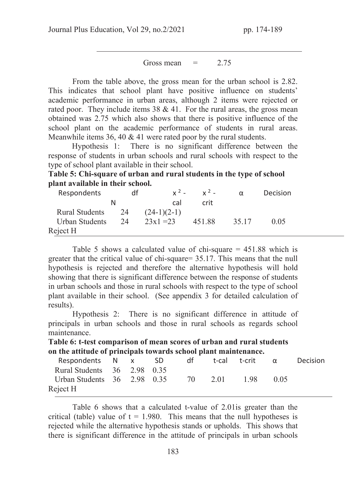Gross mean  $=$  2.75

From the table above, the gross mean for the urban school is 2.82. This indicates that school plant have positive influence on students' academic performance in urban areas, although 2 items were rejected or rated poor. They include items  $38 \& 41$ . For the rural areas, the gross mean obtained was 2.75 which also shows that there is positive influence of the school plant on the academic performance of students in rural areas. Meanwhile items 36, 40 & 41 were rated poor by the rural students.

Hypothesis 1: There is no significant difference between the response of students in urban schools and rural schools with respect to the type of school plant available in their school.

Table 5: Chi-square of urban and rural students in the type of school plant available in their school.

| Respondents    | df |               | $x^2 - y^2 -$ | $\alpha$ | Decision |
|----------------|----|---------------|---------------|----------|----------|
|                |    | cal           | crit.         |          |          |
| Rural Students | 24 | $(24-1)(2-1)$ |               |          |          |
| Urban Students | 24 | $23x1 = 23$   | 451.88        | 35.17    | (1.05)   |
| Reject H       |    |               |               |          |          |

Table 5 shows a calculated value of chi-square = 451.88 which is greater that the critical value of chi-square= 35.17. This means that the null hypothesis is rejected and therefore the alternative hypothesis will hold showing that there is significant difference between the response of students in urban schools and those in rural schools with respect to the type of school plant available in their school. (See appendix 3 for detailed calculation of results).

 Hypothesis 2: There is no significant difference in attitude of principals in urban schools and those in rural schools as regards school maintenance.

Table 6: t-test comparison of mean scores of urban and rural students on the attitude of principals towards school plant maintenance.

| Respondents N x SD                  |  | dt d | t-cal t-crit α |        | Decision |
|-------------------------------------|--|------|----------------|--------|----------|
| Rural Students 36 2.98 0.35         |  |      |                |        |          |
| Urban Students 36 2.98 0.35 70 2.01 |  |      | 1.98           | (0.05) |          |
| Reject H                            |  |      |                |        |          |

 Table 6 shows that a calculated t-value of 2.01is greater than the critical (table) value of  $t = 1.980$ . This means that the null hypotheses is rejected while the alternative hypothesis stands or upholds. This shows that there is significant difference in the attitude of principals in urban schools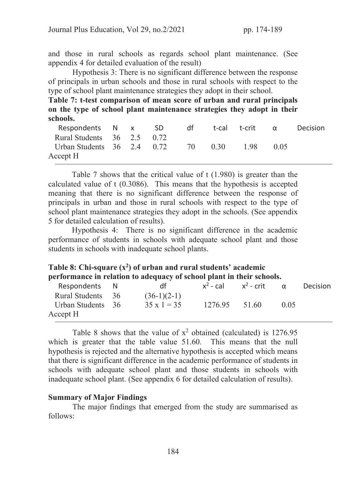and those in rural schools as regards school plant maintenance. (See appendix 4 for detailed evaluation of the result)

 Hypothesis 3: There is no significant difference between the response of principals in urban schools and those in rural schools with respect to the type of school plant maintenance strategies they adopt in their school.

Table 7: t-test comparison of mean score of urban and rural principals on the type of school plant maintenance strategies they adopt in their schools.

| Respondents N x SD                       |  | dt | t-cal t-crit α |        | <b>Decision</b> |
|------------------------------------------|--|----|----------------|--------|-----------------|
| Rural Students $36 \quad 2.5 \quad 0.72$ |  |    |                |        |                 |
| Urban Students 36 2.4 0.72 70 0.30 1.98  |  |    |                | (0.05) |                 |
| Accept H                                 |  |    |                |        |                 |

Table 7 shows that the critical value of t (1.980) is greater than the calculated value of t (0.3086). This means that the hypothesis is accepted meaning that there is no significant difference between the response of principals in urban and those in rural schools with respect to the type of school plant maintenance strategies they adopt in the schools. (See appendix 5 for detailed calculation of results).

Hypothesis 4: There is no significant difference in the academic performance of students in schools with adequate school plant and those students in schools with inadequate school plants.

| Table 8: Chi-square $(x^2)$ of urban and rural students' academic     |
|-----------------------------------------------------------------------|
| performance in relation to adequacy of school plant in their schools. |

| Respondents N     | dt                 | $x^2$ - cal | $x^2$ - crit | $\alpha$ | <b>Decision</b> |
|-------------------|--------------------|-------------|--------------|----------|-----------------|
| Rural Students 36 | $(36-1)(2-1)$      |             |              |          |                 |
| Urban Students 36 | $35 \times 1 = 35$ | 1276.95     | 51.60        | 0.05     |                 |
| Accept H          |                    |             |              |          |                 |

Table 8 shows that the value of  $x^2$  obtained (calculated) is 1276.95 which is greater that the table value 51.60. This means that the null hypothesis is rejected and the alternative hypothesis is accepted which means that there is significant difference in the academic performance of students in schools with adequate school plant and those students in schools with inadequate school plant. (See appendix 6 for detailed calculation of results).

#### Summary of Major Findings

 The major findings that emerged from the study are summarised as follows: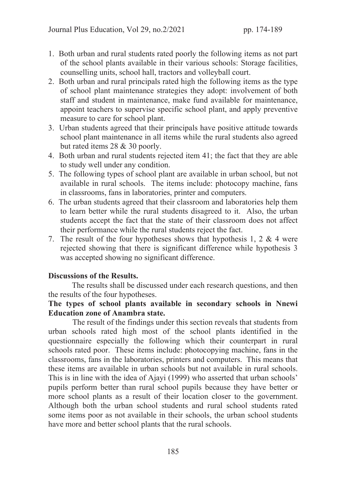- 1. Both urban and rural students rated poorly the following items as not part of the school plants available in their various schools: Storage facilities, counselling units, school hall, tractors and volleyball court.
- 2. Both urban and rural principals rated high the following items as the type of school plant maintenance strategies they adopt: involvement of both staff and student in maintenance, make fund available for maintenance, appoint teachers to supervise specific school plant, and apply preventive measure to care for school plant.
- 3. Urban students agreed that their principals have positive attitude towards school plant maintenance in all items while the rural students also agreed but rated items 28 & 30 poorly.
- 4. Both urban and rural students rejected item 41; the fact that they are able to study well under any condition.
- 5. The following types of school plant are available in urban school, but not available in rural schools. The items include: photocopy machine, fans in classrooms, fans in laboratories, printer and computers.
- 6. The urban students agreed that their classroom and laboratories help them to learn better while the rural students disagreed to it. Also, the urban students accept the fact that the state of their classroom does not affect their performance while the rural students reject the fact.
- 7. The result of the four hypotheses shows that hypothesis 1, 2 & 4 were rejected showing that there is significant difference while hypothesis 3 was accepted showing no significant difference.

## Discussions of the Results.

The results shall be discussed under each research questions, and then the results of the four hypotheses.

# The types of school plants available in secondary schools in Nnewi Education zone of Anambra state.

 The result of the findings under this section reveals that students from urban schools rated high most of the school plants identified in the questionnaire especially the following which their counterpart in rural schools rated poor. These items include: photocopying machine, fans in the classrooms, fans in the laboratories, printers and computers. This means that these items are available in urban schools but not available in rural schools. This is in line with the idea of Ajayi (1999) who asserted that urban schools' pupils perform better than rural school pupils because they have better or more school plants as a result of their location closer to the government. Although both the urban school students and rural school students rated some items poor as not available in their schools, the urban school students have more and better school plants that the rural schools.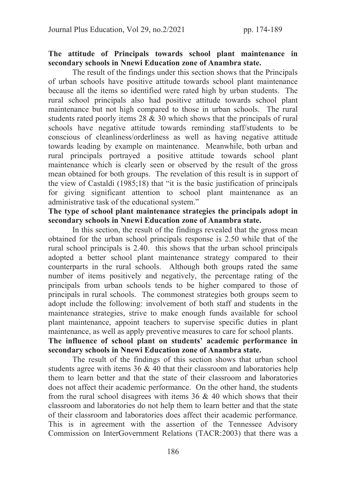# The attitude of Principals towards school plant maintenance in secondary schools in Nnewi Education zone of Anambra state.

The result of the findings under this section shows that the Principals of urban schools have positive attitude towards school plant maintenance because all the items so identified were rated high by urban students. The rural school principals also had positive attitude towards school plant maintenance but not high compared to those in urban schools. The rural students rated poorly items 28 & 30 which shows that the principals of rural schools have negative attitude towards reminding staff/students to be conscious of cleanliness/orderliness as well as having negative attitude towards leading by example on maintenance. Meanwhile, both urban and rural principals portrayed a positive attitude towards school plant maintenance which is clearly seen or observed by the result of the gross mean obtained for both groups. The revelation of this result is in support of the view of Castaldi (1985;18) that "it is the basic justification of principals for giving significant attention to school plant maintenance as an administrative task of the educational system."

# The type of school plant maintenance strategies the principals adopt in secondary schools in Nnewi Education zone of Anambra state.

 In this section, the result of the findings revealed that the gross mean obtained for the urban school principals response is 2.50 while that of the rural school principals is 2.40. this shows that the urban school principals adopted a better school plant maintenance strategy compared to their counterparts in the rural schools. Although both groups rated the same number of items positively and negatively, the percentage rating of the principals from urban schools tends to be higher compared to those of principals in rural schools. The commonest strategies both groups seem to adopt include the following: involvement of both staff and students in the maintenance strategies, strive to make enough funds available for school plant maintenance, appoint teachers to supervise specific duties in plant maintenance, as well as apply preventive measures to care for school plants. The influence of school plant on students' academic performance in

# secondary schools in Nnewi Education zone of Anambra state.

 The result of the findings of this section shows that urban school students agree with items 36 & 40 that their classroom and laboratories help them to learn better and that the state of their classroom and laboratories does not affect their academic performance. On the other hand, the students from the rural school disagrees with items 36 & 40 which shows that their classroom and laboratories do not help them to learn better and that the state of their classroom and laboratories does affect their academic performance. This is in agreement with the assertion of the Tennessee Advisory Commission on InterGovernment Relations (TACR:2003) that there was a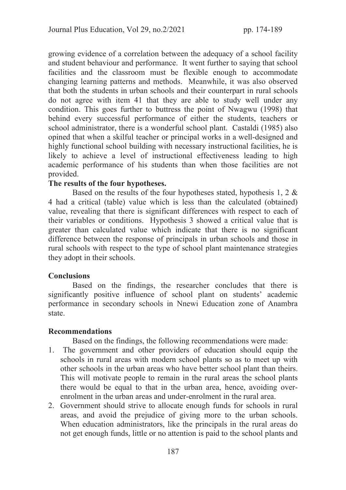growing evidence of a correlation between the adequacy of a school facility and student behaviour and performance. It went further to saying that school facilities and the classroom must be flexible enough to accommodate changing learning patterns and methods. Meanwhile, it was also observed that both the students in urban schools and their counterpart in rural schools do not agree with item 41 that they are able to study well under any condition. This goes further to buttress the point of Nwagwu (1998) that behind every successful performance of either the students, teachers or school administrator, there is a wonderful school plant. Castaldi (1985) also opined that when a skilful teacher or principal works in a well-designed and highly functional school building with necessary instructional facilities, he is likely to achieve a level of instructional effectiveness leading to high academic performance of his students than when those facilities are not provided.

#### The results of the four hypotheses.

Based on the results of the four hypotheses stated, hypothesis 1, 2  $\&$ 4 had a critical (table) value which is less than the calculated (obtained) value, revealing that there is significant differences with respect to each of their variables or conditions. Hypothesis 3 showed a critical value that is greater than calculated value which indicate that there is no significant difference between the response of principals in urban schools and those in rural schools with respect to the type of school plant maintenance strategies they adopt in their schools.

## **Conclusions**

 Based on the findings, the researcher concludes that there is significantly positive influence of school plant on students' academic performance in secondary schools in Nnewi Education zone of Anambra state.

#### Recommendations

Based on the findings, the following recommendations were made:

- 1. The government and other providers of education should equip the schools in rural areas with modern school plants so as to meet up with other schools in the urban areas who have better school plant than theirs. This will motivate people to remain in the rural areas the school plants there would be equal to that in the urban area, hence, avoiding overenrolment in the urban areas and under-enrolment in the rural area.
- 2. Government should strive to allocate enough funds for schools in rural areas, and avoid the prejudice of giving more to the urban schools. When education administrators, like the principals in the rural areas do not get enough funds, little or no attention is paid to the school plants and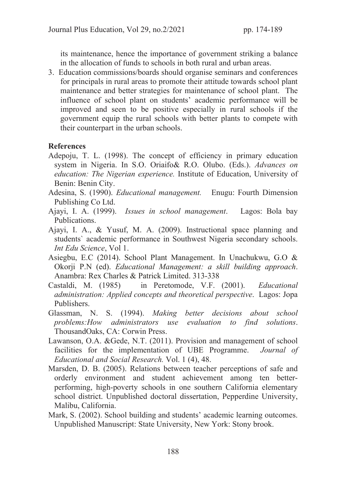its maintenance, hence the importance of government striking a balance in the allocation of funds to schools in both rural and urban areas.

3. Education commissions/boards should organise seminars and conferences for principals in rural areas to promote their attitude towards school plant maintenance and better strategies for maintenance of school plant. The influence of school plant on students' academic performance will be improved and seen to be positive especially in rural schools if the government equip the rural schools with better plants to compete with their counterpart in the urban schools.

# **References**

- Adepoju, T. L. (1998). The concept of efficiency in primary education system in Nigeria. In S.O. Oriaifo& R.O. Olubo. (Eds.). *Advances on education: The Nigerian experience.* Institute of Education, University of Benin: Benin City.
- Adesina, S. (1990). *Educational management.* Enugu: Fourth Dimension Publishing Co Ltd.
- Ajayi, I. A. (1999). *Issues in school management*. Lagos: Bola bay Publications.
- Ajayi, I. A., & Yusuf, M. A. (2009). Instructional space planning and students` academic performance in Southwest Nigeria secondary schools. *Int Edu Science*, Vol 1.
- Asiegbu, E.C (2014). School Plant Management. In Unachukwu, G.O & Okorji P.N (ed). *Educational Management: a skill building approach*. Anambra: Rex Charles & Patrick Limited. 313-338
- Castaldi, M. (1985) in Peretomode, V.F. (2001). *Educational administration: Applied concepts and theoretical perspective*. Lagos: Jopa Publishers.
- Glassman, N. S. (1994). *Making better decisions about school problems:How administrators use evaluation to find solutions*. ThousandOaks, CA: Corwin Press.
- Lawanson, O.A. &Gede, N.T. (2011). Provision and management of school facilities for the implementation of UBE Programme. *Journal of Educational and Social Research.* Vol. 1 (4), 48.
- Marsden, D. B. (2005). Relations between teacher perceptions of safe and orderly environment and student achievement among ten betterperforming, high-poverty schools in one southern California elementary school district. Unpublished doctoral dissertation, Pepperdine University, Malibu, California.
- Mark, S. (2002). School building and students' academic learning outcomes. Unpublished Manuscript: State University, New York: Stony brook.